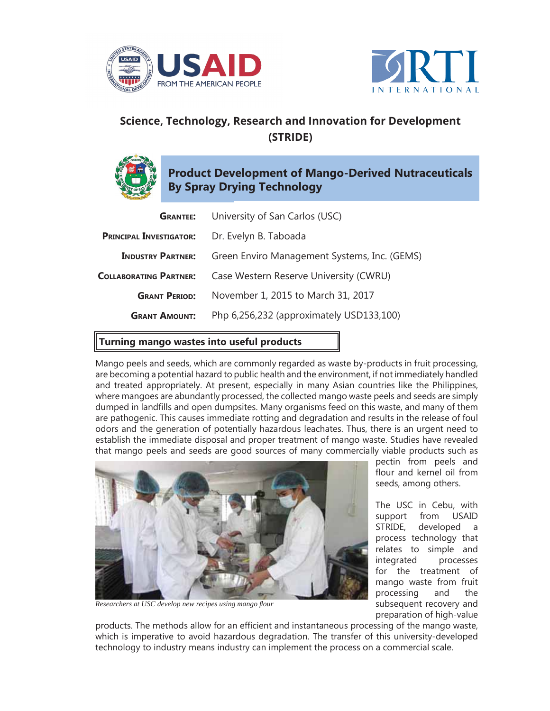



## **Science, Technology, Research and Innovation for Development (STRIDE)**

## **Product Development of Mango-Derived Nutraceuticals By Spray Drying Technology**

| <b>GRANTEE:</b>                | University of San Carlos (USC)               |
|--------------------------------|----------------------------------------------|
| <b>PRINCIPAL INVESTIGATOR:</b> | Dr. Evelyn B. Taboada                        |
| <b>INDUSTRY PARTNER:</b>       | Green Enviro Management Systems, Inc. (GEMS) |
| <b>COLLABORATING PARTNER:</b>  | Case Western Reserve University (CWRU)       |
| <b>GRANT PERIOD:</b>           | November 1, 2015 to March 31, 2017           |
| <b>GRANT AMOUNT:</b>           | Php 6,256,232 (approximately USD133,100)     |
|                                |                                              |

## **Turning mango wastes into useful products**

Mango peels and seeds, which are commonly regarded as waste by-products in fruit processing, are becoming a potential hazard to public health and the environment, if not immediately handled and treated appropriately. At present, especially in many Asian countries like the Philippines, where mangoes are abundantly processed, the collected mango waste peels and seeds are simply dumped in landfills and open dumpsites. Many organisms feed on this waste, and many of them are pathogenic. This causes immediate rotting and degradation and results in the release of foul odors and the generation of potentially hazardous leachates. Thus, there is an urgent need to establish the immediate disposal and proper treatment of mango waste. Studies have revealed that mango peels and seeds are good sources of many commercially viable products such as



**Researchers at USC develop new recipes using mango flour** 

pectin from peels and flour and kernel oil from seeds, among others.

The USC in Cebu, with support from USAID STRIDE, developed a process technology that relates to simple and integrated processes for the treatment of mango waste from fruit processing and the subsequent recovery and preparation of high-value

products. The methods allow for an efficient and instantaneous processing of the mango waste, which is imperative to avoid hazardous degradation. The transfer of this university-developed technology to industry means industry can implement the process on a commercial scale.